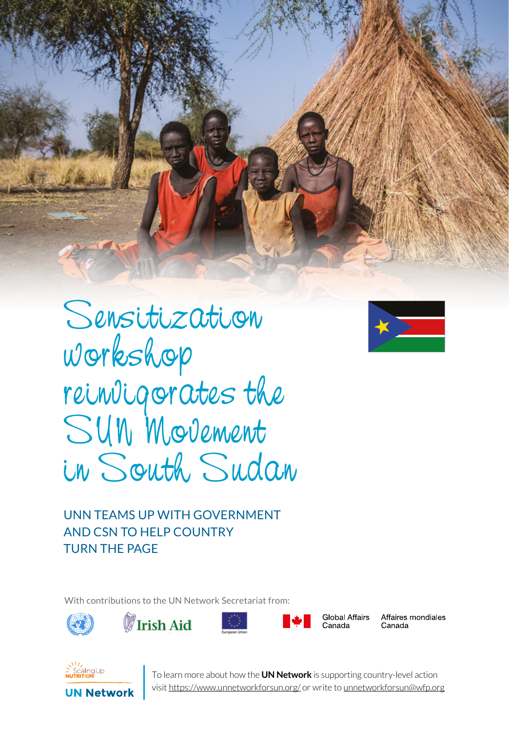Sensitization workshop reinvigorates the SUN Movement in South Sudan

SERIES 1 UN NETWORK



UNN TEAMS UP WITH GOVERNMENT AND CSN TO HELP COUNTRY TURN THE PAGE

With contributions to the UN Network Secretariat from:









**Global Affairs** Affaires mondiales Canada



**UN Network** 

I o learn more about how the **UN Network** is supporting country-level action<br>visit <u>https://www.unnetworkforsun.org/</u> or write to <u>unnetworkforsun@wfp.org</u> To learn more about how the **UN Network** is supporting country-level action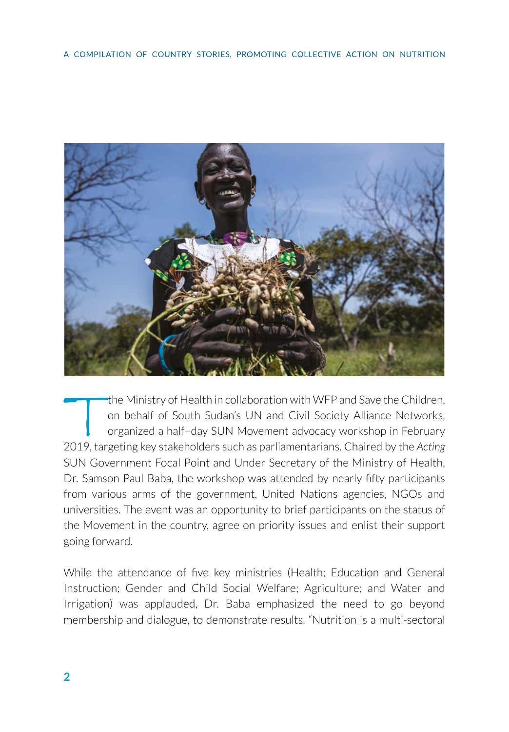

the Ministry of Health in collaboration with WFP and Save the Children, on behalf of South Sudan's UN and Civil Society Alliance Networks, organized a half−day SUN Movement advocacy workshop in February 2019, targeting key stakeholders such as parliamentarians. Chaired by the *Acting*  SUN Government Focal Point and Under Secretary of the Ministry of Health, Dr. Samson Paul Baba, the workshop was attended by nearly fifty participants from various arms of the government, United Nations agencies, NGOs and universities. The event was an opportunity to brief participants on the status of the Movement in the country, agree on priority issues and enlist their support going forward.

While the attendance of five key ministries (Health; Education and General Instruction; Gender and Child Social Welfare; Agriculture; and Water and Irrigation) was applauded, Dr. Baba emphasized the need to go beyond membership and dialogue, to demonstrate results. "Nutrition is a multi-sectoral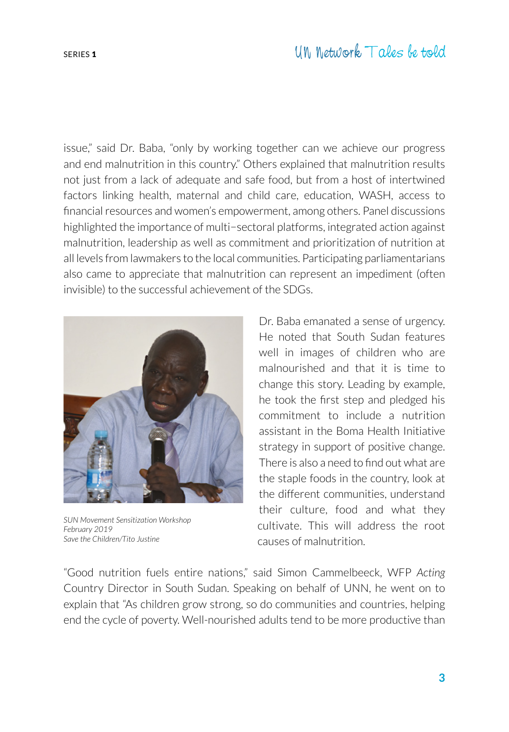issue," said Dr. Baba, "only by working together can we achieve our progress and end malnutrition in this country." Others explained that malnutrition results not just from a lack of adequate and safe food, but from a host of intertwined factors linking health, maternal and child care, education, WASH, access to financial resources and women's empowerment, among others. Panel discussions highlighted the importance of multi−sectoral platforms, integrated action against malnutrition, leadership as well as commitment and prioritization of nutrition at all levels from lawmakers to the local communities. Participating parliamentarians also came to appreciate that malnutrition can represent an impediment (often invisible) to the successful achievement of the SDGs.



*SUN Movement Sensitization Workshop February 2019 Save the Children/Tito Justine*

Dr. Baba emanated a sense of urgency. He noted that South Sudan features well in images of children who are malnourished and that it is time to change this story. Leading by example, he took the first step and pledged his commitment to include a nutrition assistant in the Boma Health Initiative strategy in support of positive change. There is also a need to find out what are the staple foods in the country, look at the different communities, understand their culture, food and what they cultivate. This will address the root causes of malnutrition.

"Good nutrition fuels entire nations," said Simon Cammelbeeck, WFP *Acting*  Country Director in South Sudan. Speaking on behalf of UNN, he went on to explain that "As children grow strong, so do communities and countries, helping end the cycle of poverty. Well-nourished adults tend to be more productive than